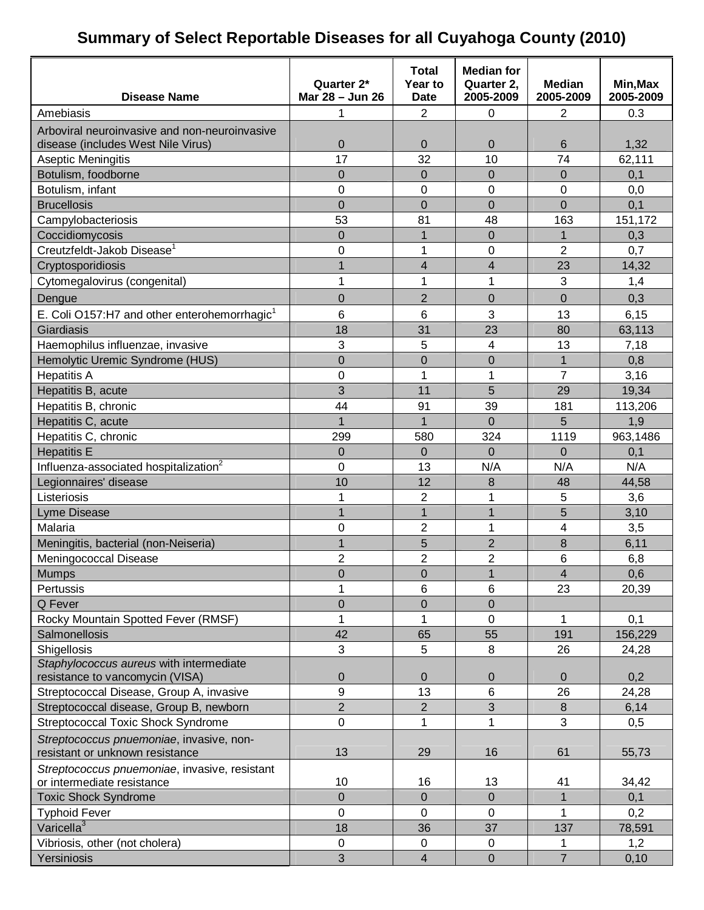### **Summary of Select Reportable Diseases for all Cuyahoga County (2010)**

| <b>Disease Name</b>                                                         | Quarter 2*<br>Mar 28 - Jun 26 | <b>Total</b><br>Year to<br><b>Date</b> | <b>Median for</b><br>Quarter 2,<br>2005-2009 | <b>Median</b><br>2005-2009 | Min, Max<br>2005-2009 |
|-----------------------------------------------------------------------------|-------------------------------|----------------------------------------|----------------------------------------------|----------------------------|-----------------------|
| Amebiasis                                                                   | 1                             | 2                                      | $\mathbf 0$                                  | 2                          | 0.3                   |
| Arboviral neuroinvasive and non-neuroinvasive                               |                               |                                        |                                              |                            |                       |
| disease (includes West Nile Virus)                                          | 0                             | 0                                      | $\mathbf 0$                                  | 6                          | 1,32                  |
| Aseptic Meningitis                                                          | 17                            | 32                                     | 10                                           | 74                         | 62,111                |
| Botulism, foodborne                                                         | $\overline{0}$                | $\overline{0}$                         | $\Omega$                                     | $\overline{0}$             | 0,1                   |
| Botulism, infant                                                            | 0                             | 0                                      | $\mathbf 0$                                  | 0                          | 0,0                   |
| <b>Brucellosis</b>                                                          | $\overline{0}$                | $\overline{0}$                         | $\overline{0}$                               | 0                          | 0,1                   |
| Campylobacteriosis                                                          | 53                            | 81                                     | 48                                           | 163                        | 151,172               |
| Coccidiomycosis                                                             | 0                             | 1                                      | $\overline{0}$                               | 1                          | 0,3                   |
| Creutzfeldt-Jakob Disease <sup>1</sup>                                      | 0                             | 1                                      | 0                                            | $\overline{2}$             | 0,7                   |
| Cryptosporidiosis                                                           | $\overline{1}$                | $\overline{\mathbf{4}}$                | $\overline{\mathbf{4}}$                      | 23                         | 14,32                 |
| Cytomegalovirus (congenital)                                                | 1                             | 1                                      | 1                                            | 3                          | 1,4                   |
|                                                                             | $\overline{0}$                | $\overline{2}$                         | $\overline{0}$                               | $\overline{0}$             | 0,3                   |
| Dengue                                                                      |                               |                                        |                                              |                            |                       |
| E. Coli O157:H7 and other enterohemorrhagic <sup>1</sup>                    | 6                             | 6                                      | 3                                            | 13                         | 6, 15                 |
| Giardiasis                                                                  | 18                            | 31                                     | 23                                           | 80                         | 63,113                |
| Haemophilus influenzae, invasive                                            | 3                             | 5                                      | 4                                            | 13                         | 7,18                  |
| Hemolytic Uremic Syndrome (HUS)                                             | $\overline{0}$                | $\overline{0}$                         | $\overline{0}$                               | 1                          | 0,8                   |
| <b>Hepatitis A</b>                                                          | 0                             | $\overline{1}$                         | 1                                            | $\overline{7}$             | 3,16                  |
| Hepatitis B, acute                                                          | 3                             | 11                                     | 5                                            | 29                         | 19,34                 |
| Hepatitis B, chronic                                                        | 44                            | 91                                     | 39                                           | 181                        | 113,206               |
| Hepatitis C, acute                                                          | $\overline{1}$                | $\overline{1}$                         | $\overline{0}$                               | 5                          | 1,9                   |
| Hepatitis C, chronic                                                        | 299                           | 580                                    | 324                                          | 1119                       | 963,1486              |
| <b>Hepatitis E</b>                                                          | 0                             | $\Omega$                               | $\Omega$                                     | $\Omega$                   | 0,1                   |
| Influenza-associated hospitalization <sup>2</sup>                           | 0                             | 13                                     | N/A                                          | N/A                        | N/A                   |
| Legionnaires' disease                                                       | 10                            | 12                                     | 8                                            | 48                         | 44,58                 |
| Listeriosis                                                                 | 1                             | $\overline{2}$                         | 1                                            | 5                          | 3,6                   |
| <b>Lyme Disease</b>                                                         | $\overline{1}$                | $\mathbf{1}$                           | 1                                            | 5                          | 3,10                  |
| Malaria                                                                     | 0                             | $\overline{2}$                         | 1                                            | 4                          | 3,5                   |
| Meningitis, bacterial (non-Neiseria)                                        | $\overline{1}$                | 5                                      | $\overline{2}$                               | 8                          | 6,11                  |
| Meningococcal Disease                                                       | $\overline{2}$                | $\overline{2}$                         | $\overline{c}$                               | 6                          | 6,8                   |
| <b>Mumps</b>                                                                | $\overline{0}$                | $\mathbf 0$                            | $\overline{1}$                               | 4                          | 0,6                   |
| Pertussis                                                                   | 1                             | 6                                      | 6                                            | 23                         | 20,39                 |
| Q Fever                                                                     | 0                             | 0                                      | $\mathbf 0$                                  |                            |                       |
| Rocky Mountain Spotted Fever (RMSF)                                         | 1                             | 1                                      | $\mathbf 0$                                  | 1                          | 0,1                   |
| Salmonellosis                                                               | 42                            | 65                                     | 55                                           | 191                        | 156,229               |
| Shigellosis                                                                 | 3                             | 5                                      | 8                                            | 26                         | 24,28                 |
| Staphylococcus aureus with intermediate                                     |                               |                                        |                                              |                            |                       |
| resistance to vancomycin (VISA)                                             | 0                             | $\overline{0}$                         | $\mathbf 0$                                  | $\overline{0}$             | 0,2                   |
| Streptococcal Disease, Group A, invasive                                    | 9                             | 13                                     | $6\phantom{1}$                               | 26                         | 24,28                 |
| Streptococcal disease, Group B, newborn                                     | $\overline{2}$                | $\overline{2}$                         | 3                                            | 8                          | 6,14                  |
| <b>Streptococcal Toxic Shock Syndrome</b>                                   | 0                             | 1                                      | 1                                            | 3                          | 0,5                   |
| Streptococcus pnuemoniae, invasive, non-<br>resistant or unknown resistance | 13                            | 29                                     | 16                                           | 61                         | 55,73                 |
| Streptococcus pnuemoniae, invasive, resistant                               |                               |                                        |                                              |                            |                       |
| or intermediate resistance                                                  | 10                            | 16                                     | 13                                           | 41                         | 34,42                 |
| <b>Toxic Shock Syndrome</b>                                                 | 0                             | $\overline{0}$                         | $\mathbf 0$                                  | 1                          | 0,1                   |
| <b>Typhoid Fever</b>                                                        | 0                             | $\mathbf 0$                            | 0                                            | 1                          | 0,2                   |
| Varicella <sup>3</sup>                                                      | 18                            | 36                                     | 37                                           | 137                        | 78,591                |
| Vibriosis, other (not cholera)                                              | 0                             | 0                                      | $\mathbf 0$                                  |                            | 1,2                   |
| Yersiniosis                                                                 | 3                             | $\overline{\mathbf{4}}$                | $\boldsymbol{0}$                             | $\overline{7}$             | 0,10                  |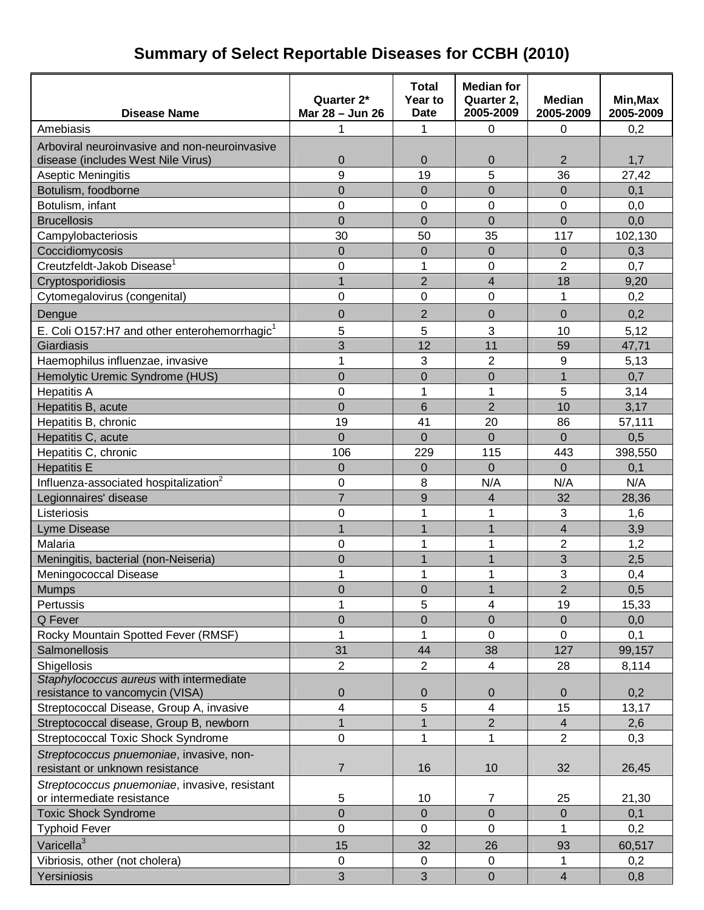# **Summary of Select Reportable Diseases for CCBH (2010)**

| <b>Disease Name</b>                                                        | Quarter 2*<br>Mar 28 - Jun 26 | <b>Total</b><br>Year to<br><b>Date</b> | <b>Median for</b><br>Quarter 2,<br>2005-2009 | <b>Median</b><br>2005-2009 | Min, Max<br>2005-2009 |
|----------------------------------------------------------------------------|-------------------------------|----------------------------------------|----------------------------------------------|----------------------------|-----------------------|
| Amebiasis                                                                  | 1                             | 1                                      | $\mathbf 0$                                  | 0                          | 0,2                   |
| Arboviral neuroinvasive and non-neuroinvasive                              |                               |                                        |                                              |                            |                       |
| disease (includes West Nile Virus)                                         | $\mathbf 0$                   | $\mathbf 0$                            | $\mathbf 0$                                  | $\overline{2}$             | 1,7                   |
| Aseptic Meningitis                                                         | 9                             | 19                                     | 5                                            | 36                         | 27,42                 |
| Botulism, foodborne                                                        | $\overline{0}$                | 0                                      | $\overline{0}$                               | $\Omega$                   | 0,1                   |
| Botulism, infant                                                           | $\mathbf 0$                   | 0                                      | 0                                            | 0                          | 0,0                   |
| <b>Brucellosis</b>                                                         | $\overline{0}$                | 0                                      | $\mathbf 0$                                  | $\overline{0}$             | 0,0                   |
| Campylobacteriosis                                                         | 30                            | 50                                     | 35                                           | 117                        | 102,130               |
| Coccidiomycosis                                                            | $\overline{0}$                | $\overline{0}$                         | $\overline{0}$                               | $\mathbf{0}$               | 0,3                   |
| Creutzfeldt-Jakob Disease <sup>1</sup>                                     | $\mathbf 0$                   | 1                                      | 0                                            | $\overline{2}$             | 0,7                   |
| Cryptosporidiosis                                                          | $\overline{1}$                | $\overline{2}$                         | 4                                            | 18                         | 9,20                  |
| Cytomegalovirus (congenital)                                               | $\mathbf 0$                   | 0                                      | 0                                            | 1                          | 0,2                   |
| Dengue                                                                     | $\overline{0}$                | $\overline{2}$                         | 0                                            | $\mathbf 0$                | 0,2                   |
| E. Coli O157:H7 and other enterohemorrhagic <sup>1</sup>                   | 5                             | 5                                      | 3                                            | 10                         | 5,12                  |
| Giardiasis                                                                 | 3                             | 12                                     | 11                                           | 59                         | 47,71                 |
| Haemophilus influenzae, invasive                                           | 1                             | 3                                      | $\overline{2}$                               | 9                          | 5,13                  |
| Hemolytic Uremic Syndrome (HUS)                                            | $\overline{0}$                | 0                                      | $\overline{0}$                               | 1                          | 0,7                   |
| <b>Hepatitis A</b>                                                         | $\mathbf 0$                   | 1                                      | 1                                            | $\overline{5}$             | 3,14                  |
| Hepatitis B, acute                                                         | $\overline{0}$                | 6                                      | $\overline{2}$                               | 10                         | 3,17                  |
| Hepatitis B, chronic                                                       | 19                            | 41                                     | 20                                           | 86                         | 57,111                |
| Hepatitis C, acute                                                         | $\overline{0}$                | $\overline{0}$                         | $\overline{0}$                               | $\Omega$                   | 0,5                   |
| Hepatitis C, chronic                                                       | 106                           | 229                                    | 115                                          | 443                        | 398,550               |
| <b>Hepatitis E</b>                                                         | $\mathbf 0$                   | 0                                      | $\mathbf 0$                                  | $\Omega$                   | 0,1                   |
| Influenza-associated hospitalization <sup>2</sup>                          | 0                             | 8                                      | N/A                                          | N/A                        | N/A                   |
| Legionnaires' disease                                                      | $\overline{7}$                | 9                                      | 4                                            | 32                         | 28,36                 |
| Listeriosis                                                                | 0                             | 1                                      | 1                                            | 3                          | 1,6                   |
| Lyme Disease                                                               | 1                             | 1                                      | 1                                            | $\overline{4}$             | 3,9                   |
| Malaria                                                                    | $\mathbf 0$                   | 1                                      | 1                                            | $\overline{2}$             | 1,2                   |
| Meningitis, bacterial (non-Neiseria)                                       | $\overline{0}$                | 1                                      | $\mathbf{1}$                                 | 3                          | 2,5                   |
| Meningococcal Disease                                                      | 1                             | 1                                      | 1                                            | 3                          | 0,4                   |
| <b>Mumps</b>                                                               | 0                             | 0                                      | 1                                            | 2                          | 0,5                   |
| Pertussis                                                                  | 1                             | 5                                      | 4                                            | 19                         | 15,33                 |
| Q Fever                                                                    | $\overline{0}$                | 0                                      | $\overline{0}$                               | $\mathbf 0$                | 0,0                   |
| Rocky Mountain Spotted Fever (RMSF)                                        | 1                             | 1                                      | 0                                            | 0                          | 0,1                   |
| Salmonellosis                                                              | 31                            | 44                                     | 38                                           | 127                        | 99,157                |
| Shigellosis                                                                | $\overline{2}$                | $\overline{2}$                         | 4                                            | 28                         | 8,114                 |
| Staphylococcus aureus with intermediate<br>resistance to vancomycin (VISA) | $\pmb{0}$                     | 0                                      | 0                                            | $\mathbf{0}$               | 0,2                   |
| Streptococcal Disease, Group A, invasive                                   | 4                             | 5                                      | 4                                            | 15                         | 13,17                 |
| Streptococcal disease, Group B, newborn                                    | 1                             | 1                                      | $\overline{2}$                               | $\overline{4}$             | 2,6                   |
| <b>Streptococcal Toxic Shock Syndrome</b>                                  | $\mathbf 0$                   | 1                                      | 1                                            | $\overline{2}$             | 0,3                   |
| Streptococcus pnuemoniae, invasive, non-                                   |                               |                                        |                                              |                            |                       |
| resistant or unknown resistance                                            | 7                             | 16                                     | 10                                           | 32                         | 26,45                 |
| Streptococcus pnuemoniae, invasive, resistant                              |                               |                                        |                                              |                            |                       |
| or intermediate resistance                                                 | 5                             | 10                                     | 7                                            | 25                         | 21,30                 |
| <b>Toxic Shock Syndrome</b>                                                | $\overline{0}$                | $\overline{0}$                         | $\overline{0}$                               | $\Omega$                   | 0,1                   |
| <b>Typhoid Fever</b>                                                       | 0                             | 0                                      | 0                                            | 1                          | 0,2                   |
| Varicella <sup>3</sup>                                                     | 15                            | 32                                     | 26                                           | 93                         | 60,517                |
| Vibriosis, other (not cholera)                                             | 0                             | $\mathbf 0$                            | $\mathbf 0$                                  | 1                          | 0,2                   |
| Yersiniosis                                                                | 3                             | 3                                      | $\mathbf 0$                                  | $\overline{\mathbf{4}}$    | 0,8                   |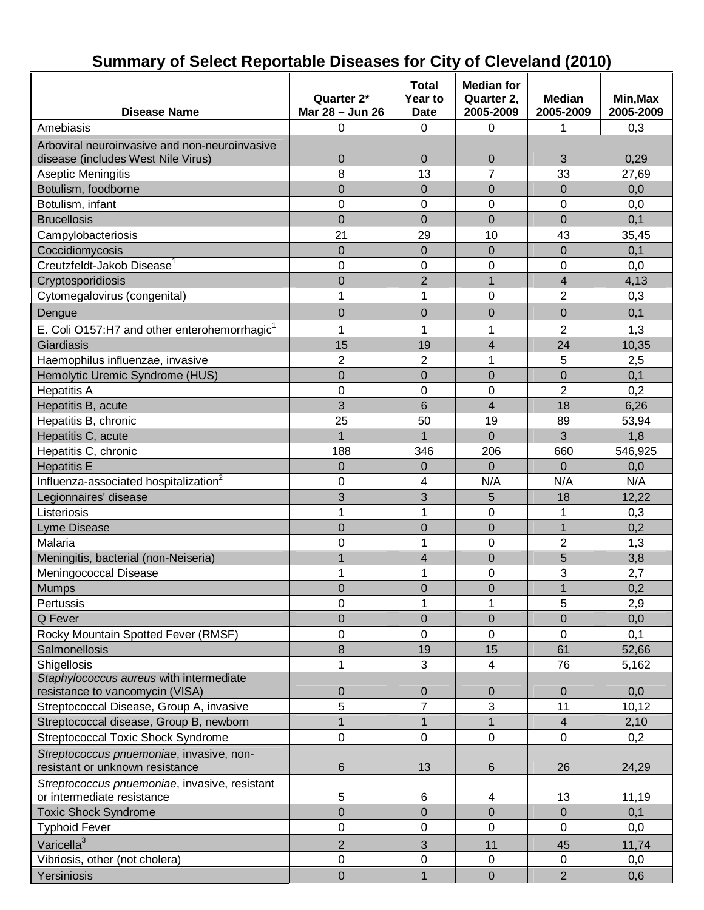|                                                          |                               | <b>Total</b>            | <b>Median for</b>       |                            |                       |
|----------------------------------------------------------|-------------------------------|-------------------------|-------------------------|----------------------------|-----------------------|
| <b>Disease Name</b>                                      | Quarter 2*<br>Mar 28 - Jun 26 | Year to<br><b>Date</b>  | Quarter 2,<br>2005-2009 | <b>Median</b><br>2005-2009 | Min, Max<br>2005-2009 |
| Amebiasis                                                | 0                             | 0                       | $\mathbf 0$             | 1                          | 0,3                   |
| Arboviral neuroinvasive and non-neuroinvasive            |                               |                         |                         |                            |                       |
| disease (includes West Nile Virus)                       | $\mathbf 0$                   | $\boldsymbol{0}$        | $\mathbf 0$             | 3                          | 0,29                  |
| Aseptic Meningitis                                       | 8                             | 13                      | $\overline{7}$          | 33                         | 27,69                 |
| Botulism, foodborne                                      | $\mathbf 0$                   | $\mathbf 0$             | $\mathbf 0$             | $\mathbf 0$                | 0,0                   |
| Botulism, infant                                         | $\mathbf 0$                   | 0                       | 0                       | 0                          | 0,0                   |
| <b>Brucellosis</b>                                       | $\overline{0}$                | $\overline{0}$          | $\overline{0}$          | $\overline{0}$             | 0,1                   |
| Campylobacteriosis                                       | 21                            | 29                      | 10                      | 43                         | 35,45                 |
| Coccidiomycosis                                          | $\boldsymbol{0}$              | $\mathbf 0$             | $\mathbf 0$             | $\mathbf 0$                | 0,1                   |
| Creutzfeldt-Jakob Disease <sup>1</sup>                   | $\mathbf 0$                   | 0                       | 0                       | 0                          | 0,0                   |
| Cryptosporidiosis                                        | $\overline{0}$                | $\overline{2}$          | $\overline{1}$          | $\overline{\mathbf{4}}$    | 4,13                  |
| Cytomegalovirus (congenital)                             | 1                             | 1                       | 0                       | $\overline{2}$             | 0,3                   |
| Dengue                                                   | $\mathbf 0$                   | 0                       | 0                       | $\boldsymbol{0}$           | 0,1                   |
| E. Coli O157:H7 and other enterohemorrhagic <sup>1</sup> | $\mathbf{1}$                  | 1                       | 1                       | $\overline{2}$             | 1,3                   |
| Giardiasis                                               | 15                            | 19                      | 4                       | 24                         | 10,35                 |
| Haemophilus influenzae, invasive                         | $\overline{2}$                | $\overline{2}$          | 1                       | 5                          | 2,5                   |
| Hemolytic Uremic Syndrome (HUS)                          | $\boldsymbol{0}$              | $\overline{0}$          | $\mathbf 0$             | $\mathbf 0$                | 0,1                   |
| <b>Hepatitis A</b>                                       | $\overline{0}$                | 0                       | 0                       | $\overline{2}$             | 0,2                   |
| Hepatitis B, acute                                       | 3                             | 6                       | 4                       | 18                         | 6,26                  |
| Hepatitis B, chronic                                     | 25                            | 50                      | 19                      | 89                         | 53,94                 |
| Hepatitis C, acute                                       | $\overline{1}$                | $\mathbf{1}$            | $\overline{0}$          | 3                          | 1,8                   |
| Hepatitis C, chronic                                     | 188                           | 346                     | 206                     | 660                        | 546,925               |
| <b>Hepatitis E</b>                                       | $\mathbf 0$                   | $\mathbf 0$             | $\Omega$                | $\Omega$                   | 0,0                   |
| Influenza-associated hospitalization <sup>2</sup>        | $\mathbf 0$                   | 4                       | N/A                     | N/A                        | N/A                   |
| Legionnaires' disease                                    | 3                             | 3                       | 5                       | 18                         | 12,22                 |
| Listeriosis                                              | $\mathbf{1}$                  | 1                       | 0                       | 1                          | 0,3                   |
| Lyme Disease                                             | $\boldsymbol{0}$              | $\boldsymbol{0}$        | $\mathbf 0$             | $\mathbf{1}$               | 0,2                   |
| Malaria                                                  | $\mathbf 0$                   | 1                       | 0                       | $\overline{2}$             | 1,3                   |
| Meningitis, bacterial (non-Neiseria)                     | $\overline{1}$                | $\overline{\mathbf{4}}$ | $\overline{0}$          | 5                          | 3,8                   |
| Meningococcal Disease                                    | 1                             | 1                       | 0                       | 3                          | 2,7                   |
| <b>Mumps</b>                                             | $\mathbf 0$                   | 0                       | 0                       | 1                          | 0,2                   |
| Pertussis                                                | 0                             | 1                       | 1                       | 5                          | 2,9                   |
| Q Fever                                                  | $\overline{0}$                | $\mathbf 0$             | $\mathbf 0$             | $\mathbf 0$                | 0,0                   |
| Rocky Mountain Spotted Fever (RMSF)                      | 0                             | 0                       | 0                       | $\pmb{0}$                  | 0,1                   |
| Salmonellosis                                            | 8                             | 19                      | 15                      | 61                         | 52,66                 |
| Shigellosis                                              | 1                             | 3                       | 4                       | 76                         | 5,162                 |
| Staphylococcus aureus with intermediate                  |                               |                         |                         |                            |                       |
| resistance to vancomycin (VISA)                          | $\mathbf 0$                   | $\pmb{0}$               | $\mathbf 0$             | $\mathbf 0$                | 0,0                   |
| Streptococcal Disease, Group A, invasive                 | 5                             | $\overline{7}$          | 3                       | 11                         | 10, 12                |
| Streptococcal disease, Group B, newborn                  | $\mathbf{1}$                  | $\mathbf{1}$            | $\mathbf{1}$            | $\overline{4}$             | 2,10                  |
| <b>Streptococcal Toxic Shock Syndrome</b>                | 0                             | $\pmb{0}$               | 0                       | $\pmb{0}$                  | 0,2                   |
| Streptococcus pnuemoniae, invasive, non-                 |                               |                         |                         |                            |                       |
| resistant or unknown resistance                          | $\,6$                         | 13                      | 6                       | 26                         | 24,29                 |
| Streptococcus pnuemoniae, invasive, resistant            |                               |                         |                         |                            |                       |
| or intermediate resistance                               | $\sqrt{5}$                    | 6                       | 4                       | 13                         | 11,19                 |
| <b>Toxic Shock Syndrome</b>                              | $\overline{0}$                | $\overline{0}$          | $\overline{0}$          | $\overline{0}$             | 0,1                   |
| <b>Typhoid Fever</b>                                     | 0                             | $\pmb{0}$               | 0                       | $\mathbf 0$                | 0,0                   |
| Varicella <sup>3</sup>                                   | $\mathbf 2$                   | 3                       | 11                      | 45                         | 11,74                 |
| Vibriosis, other (not cholera)                           | $\mathsf 0$                   | 0                       | $\mathbf 0$             | $\pmb{0}$                  | 0,0                   |
| Yersiniosis                                              | $\pmb{0}$                     | $\mathbf{1}$            | $\pmb{0}$               | $\overline{2}$             | 0,6                   |

### **Summary of Select Reportable Diseases for City of Cleveland (2010)**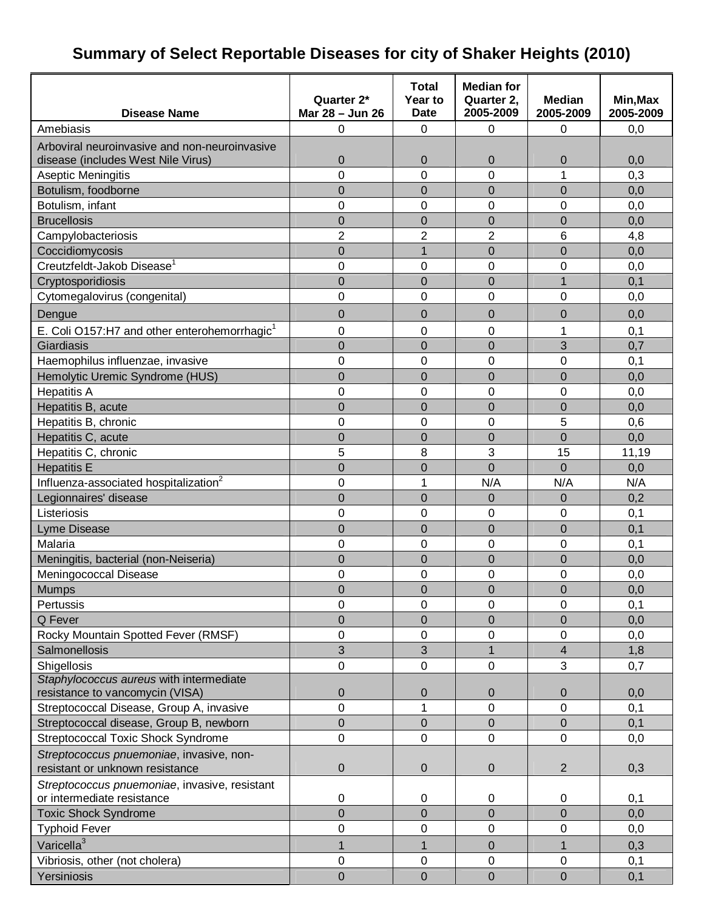# **Summary of Select Reportable Diseases for city of Shaker Heights (2010)**

|                                                          |                  | <b>Total</b>   | <b>Median for</b> |                  |           |
|----------------------------------------------------------|------------------|----------------|-------------------|------------------|-----------|
|                                                          | Quarter 2*       | Year to        | Quarter 2,        | <b>Median</b>    | Min, Max  |
| <b>Disease Name</b>                                      | Mar 28 - Jun 26  | <b>Date</b>    | 2005-2009         | 2005-2009        | 2005-2009 |
| Amebiasis                                                | 0                | 0              | 0                 | $\mathbf 0$      | 0,0       |
| Arboviral neuroinvasive and non-neuroinvasive            |                  |                |                   |                  |           |
| disease (includes West Nile Virus)                       | $\mathbf 0$      | $\mathbf 0$    | 0                 | $\boldsymbol{0}$ | 0,0       |
| Aseptic Meningitis                                       | $\overline{0}$   | $\overline{0}$ | $\overline{0}$    | 1                | 0,3       |
| Botulism, foodborne                                      | $\overline{0}$   | $\overline{0}$ | $\overline{0}$    | $\overline{0}$   | 0,0       |
| Botulism, infant                                         | 0                | 0              | 0                 | 0                | 0,0       |
| <b>Brucellosis</b>                                       | $\overline{0}$   | $\overline{0}$ | $\overline{0}$    | $\overline{0}$   | 0,0       |
| Campylobacteriosis                                       | $\overline{2}$   | $\overline{2}$ | $\overline{2}$    | 6                | 4,8       |
| Coccidiomycosis                                          | $\overline{0}$   | $\overline{1}$ | $\overline{0}$    | $\overline{0}$   | 0,0       |
| Creutzfeldt-Jakob Disease <sup>1</sup>                   | 0                | 0              | 0                 | $\mathbf 0$      | 0,0       |
| Cryptosporidiosis                                        | $\overline{0}$   | $\overline{0}$ | $\overline{0}$    | $\mathbf{1}$     | 0,1       |
| Cytomegalovirus (congenital)                             | 0                | 0              | 0                 | 0                | 0,0       |
| Dengue                                                   | $\overline{0}$   | 0              | $\overline{0}$    | 0                | 0,0       |
| E. Coli O157:H7 and other enterohemorrhagic <sup>1</sup> | 0                | 0              | 0                 | 1                | 0,1       |
| Giardiasis                                               | $\overline{0}$   | $\overline{0}$ | $\overline{0}$    | 3                | 0,7       |
| Haemophilus influenzae, invasive                         | 0                | 0              | 0                 | $\mathbf 0$      | 0,1       |
| Hemolytic Uremic Syndrome (HUS)                          | $\overline{0}$   | $\overline{0}$ | $\overline{0}$    | $\overline{0}$   | 0,0       |
| <b>Hepatitis A</b>                                       | 0                | 0              | 0                 | $\mathbf 0$      | 0,0       |
| Hepatitis B, acute                                       | $\overline{0}$   | $\overline{0}$ | $\overline{0}$    | $\mathbf 0$      | 0,0       |
| Hepatitis B, chronic                                     | $\overline{0}$   | 0              | 0                 | 5                | 0,6       |
| Hepatitis C, acute                                       | $\overline{0}$   | $\overline{0}$ | $\overline{0}$    | $\overline{0}$   | 0,0       |
| Hepatitis C, chronic                                     | 5                | 8              | 3                 | 15               | 11,19     |
| <b>Hepatitis E</b>                                       | $\overline{0}$   | $\overline{0}$ | $\overline{0}$    | $\overline{0}$   | 0,0       |
| Influenza-associated hospitalization <sup>2</sup>        | 0                | 1              | N/A               | N/A              | N/A       |
| Legionnaires' disease                                    | $\overline{0}$   | $\overline{0}$ | $\overline{0}$    | $\mathbf 0$      | 0,2       |
| Listeriosis                                              | 0                | 0              | 0                 | $\boldsymbol{0}$ | 0,1       |
| <b>Lyme Disease</b>                                      | $\overline{0}$   | $\overline{0}$ | $\overline{0}$    | $\mathbf 0$      | 0,1       |
| Malaria                                                  | 0                | 0              | 0                 | $\mathbf 0$      | 0,1       |
| Meningitis, bacterial (non-Neiseria)                     | $\overline{0}$   | $\overline{0}$ | $\overline{0}$    | $\overline{0}$   | 0,0       |
| Meningococcal Disease                                    | 0                | 0              | 0                 | 0                | 0,0       |
| Mumps                                                    | $\mathbf 0$      | $\mathbf 0$    | $\overline{0}$    | 0                | 0,0       |
| Pertussis                                                | 0                | 0              | 0                 | $\mathbf 0$      | 0,1       |
| Q Fever                                                  | $\mathbf 0$      | $\mathbf 0$    | $\mathbf 0$       | $\mathbf 0$      | 0,0       |
| Rocky Mountain Spotted Fever (RMSF)                      | 0                | 0              | 0                 | $\boldsymbol{0}$ | 0,0       |
| Salmonellosis                                            | 3                | 3              | $\overline{1}$    | 4                | 1,8       |
| Shigellosis                                              | $\pmb{0}$        | 0              | 0                 | 3                | 0,7       |
| Staphylococcus aureus with intermediate                  |                  |                |                   |                  |           |
| resistance to vancomycin (VISA)                          | $\boldsymbol{0}$ | 0              | $\boldsymbol{0}$  | $\boldsymbol{0}$ | 0,0       |
| Streptococcal Disease, Group A, invasive                 | 0                | 1              | 0                 | 0                | 0,1       |
| Streptococcal disease, Group B, newborn                  | 0                | 0              | 0                 | $\mathbf 0$      | 0,1       |
| <b>Streptococcal Toxic Shock Syndrome</b>                | 0                | 0              | 0                 | 0                | 0,0       |
| Streptococcus pnuemoniae, invasive, non-                 |                  |                |                   |                  |           |
| resistant or unknown resistance                          | $\pmb{0}$        | 0              | 0                 | $\overline{2}$   | 0,3       |
| Streptococcus pnuemoniae, invasive, resistant            |                  |                |                   |                  |           |
| or intermediate resistance                               | $\pmb{0}$        | 0              | 0                 | $\mathbf 0$      | 0,1       |
| <b>Toxic Shock Syndrome</b>                              | $\mathbf 0$      | $\mathbf 0$    | $\mathbf 0$       | $\boldsymbol{0}$ | 0,0       |
| <b>Typhoid Fever</b>                                     | 0                | 0              | 0                 | 0                | 0,0       |
| Varicella <sup>3</sup>                                   | $\mathbf{1}$     | 1              | $\mathbf 0$       | 1                | 0,3       |
| Vibriosis, other (not cholera)                           | 0                | 0              | 0                 | $\boldsymbol{0}$ | 0,1       |
| Yersiniosis                                              | $\mathbf 0$      | $\mathbf 0$    | $\mathbf 0$       | $\boldsymbol{0}$ | 0,1       |